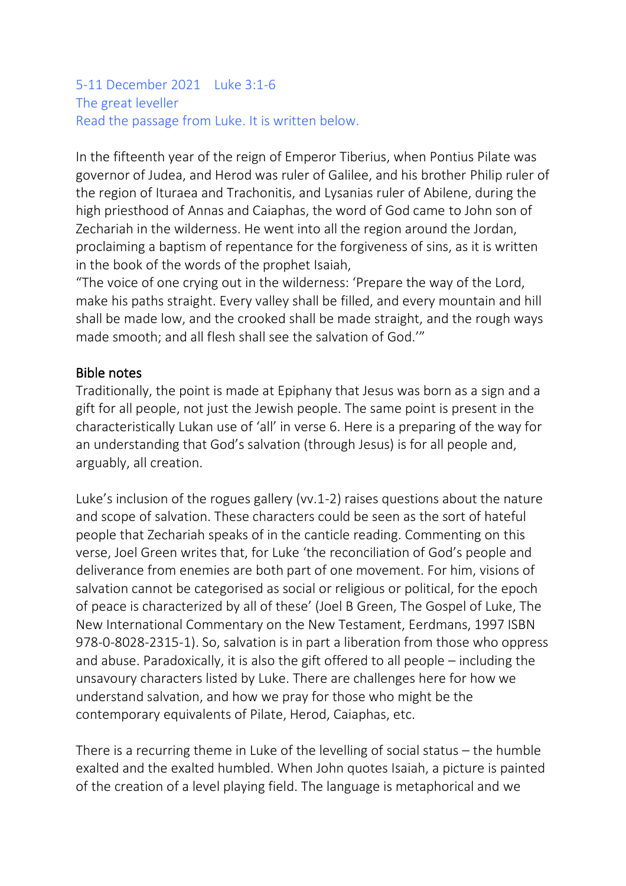#### 5-11 December 2021 Luke 3:1-6 The great leveller Read the passage from Luke. It is written below.

In the fifteenth year of the reign of Emperor Tiberius, when Pontius Pilate was governor of Judea, and Herod was ruler of Galilee, and his brother Philip ruler of the region of Ituraea and Trachonitis, and Lysanias ruler of Abilene, during the high priesthood of Annas and Caiaphas, the word of God came to John son of Zechariah in the wilderness. He went into all the region around the Jordan, proclaiming a baptism of repentance for the forgiveness of sins, as it is written in the book of the words of the prophet Isaiah,

"The voice of one crying out in the wilderness: 'Prepare the way of the Lord, make his paths straight. Every valley shall be filled, and every mountain and hill shall be made low, and the crooked shall be made straight, and the rough ways made smooth; and all flesh shall see the salvation of God.'"

#### Bible notes

Traditionally, the point is made at Epiphany that Jesus was born as a sign and a gift for all people, not just the Jewish people. The same point is present in the characteristically Lukan use of 'all' in verse 6. Here is a preparing of the way for an understanding that God's salvation (through Jesus) is for all people and, arguably, all creation.

Luke's inclusion of the rogues gallery (vv.1-2) raises questions about the nature and scope of salvation. These characters could be seen as the sort of hateful people that Zechariah speaks of in the canticle reading. Commenting on this verse, Joel Green writes that, for Luke 'the reconciliation of God's people and deliverance from enemies are both part of one movement. For him, visions of salvation cannot be categorised as social or religious or political, for the epoch of peace is characterized by all of these' (Joel B Green, The Gospel of Luke, The New International Commentary on the New Testament, Eerdmans, 1997 ISBN 978-0-8028-2315-1). So, salvation is in part a liberation from those who oppress and abuse. Paradoxically, it is also the gift offered to all people – including the unsavoury characters listed by Luke. There are challenges here for how we understand salvation, and how we pray for those who might be the contemporary equivalents of Pilate, Herod, Caiaphas, etc.

There is a recurring theme in Luke of the levelling of social status – the humble exalted and the exalted humbled. When John quotes Isaiah, a picture is painted of the creation of a level playing field. The language is metaphorical and we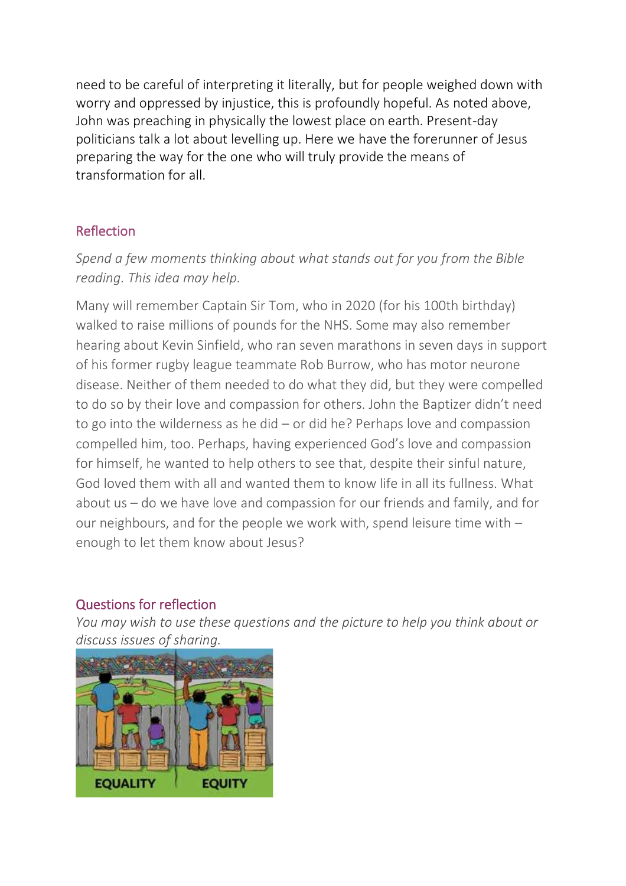need to be careful of interpreting it literally, but for people weighed down with worry and oppressed by injustice, this is profoundly hopeful. As noted above, John was preaching in physically the lowest place on earth. Present-day politicians talk a lot about levelling up. Here we have the forerunner of Jesus preparing the way for the one who will truly provide the means of transformation for all.

### Reflection

*Spend a few moments thinking about what stands out for you from the Bible reading. This idea may help.*

Many will remember Captain Sir Tom, who in 2020 (for his 100th birthday) walked to raise millions of pounds for the NHS. Some may also remember hearing about Kevin Sinfield, who ran seven marathons in seven days in support of his former rugby league teammate Rob Burrow, who has motor neurone disease. Neither of them needed to do what they did, but they were compelled to do so by their love and compassion for others. John the Baptizer didn't need to go into the wilderness as he did – or did he? Perhaps love and compassion compelled him, too. Perhaps, having experienced God's love and compassion for himself, he wanted to help others to see that, despite their sinful nature, God loved them with all and wanted them to know life in all its fullness. What about us – do we have love and compassion for our friends and family, and for our neighbours, and for the people we work with, spend leisure time with – enough to let them know about Jesus?

#### Questions for reflection

*You may wish to use these questions and the picture to help you think about or discuss issues of sharing.*